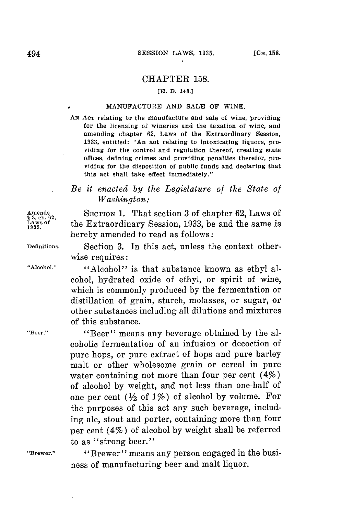## CHAPTER **158.**

## [H. **B. 148.]**

## . **MANUFACTURE AND SALE** OF **WINE.**

AN Acr relating to the manufacture and sale of wine, providing for the licensing of wineries *and* the taxation of wine, and amending chapter **62,** Laws of the Extraordinary Session, **1933,** entitled: "An aot relating to intoxicating liquors, providing for the control and regulation thereof, creating state offices, defining crimes and providing penalties therefor, providing for the disposition of public funds and declaring that this act shall take effect immediately."

## *Be it enacted by the Legislature of the State of Washington:*

Amends **1. That section 3 of chapter 62, Laws of**  $\mathbf{S}_{2}$ , ch. 62, **ch. 62**, the **Extraordinary Session** 1933 be and the same is <sup>1</sup> aws of the Extraordinary Session, 1933, be and the same is hereby amended to read as follows:

**Definitions.** Section **3.** In this act, unless the context otherwise requires:

**"Alcohol."** "Alcohol" is that substance known as ethyl alcohol, hydrated oxide of ethyl, or spirit of wine, which is commonly produced **by** the fermentation or distillation of grain, starch, molasses, or sugar, or other substances including all dilutions and mixtures of this substance.

**"Beer."** "Beer" means any beverage obtained **by** the alcoholic fermentation of an infusion or decoction of pure hops, or pure extract of hops and pure barley malt or other wholesome grain or cereal in pure water containing not more than four per cent  $(4\%)$ of alcohol **by** weight, and not less than one-half of one per cent  $(\frac{1}{2}$  of  $1\%)$  of alcohol by volume. For the purposes of this act any such beverage, including ale, stout and porter, containing more than four per cent (4%) of alcohol **by** weight shall be referred to as "strong beer."

**"Brewer."** "Brewer" means any person engaged in the business of manufacturing beer and malt liquor.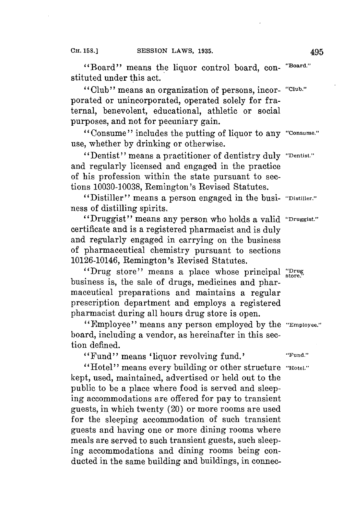"Board" means the liquor control board, con- **"Board"** stituted under this act.

"Club" means an organization of persons, incor- **"Club."** porated or unincorporated, operated solely **for** fraternal, benevolent, educational, athletic or social purposes, and not for pecuniary gain.

"Consume" includes the putting of liquor to any **"consume."** use, whether **by** drinking or otherwise.

"Dentist" means a practitioner of dentistry duly **"Dentist."** and regularly licensed and engaged in the practice of his profession within the state pursuant to sections **10030-10038,** Remington's Revised Statutes.

"Distiller" means a person engaged in the busi- **"Distiller."** ness of distilling spirits.

"Druggist" means any person who holds a valid **"Druggist."** certificate and is a registered pharmacist and is duly and regularly engaged in carrying on the business of pharmaceutical chemistry pursuant to sections 10126-10146, Remington's Revised Statutes.

"Drug store" means a place whose principal "Drug business is, the sale of drugs, medicines and pharmaceutical preparations and maintains a regular prescription department and employs a registered pharmacist during all hours drug store is open.

"Employee" means any person employed **by** the **"Employee."** board, including a vendor, as hereinafter in this section defined.

"Fund" means 'liquor revolving fund.' **"Fund."**

"Hotel" means every building or other structure **"Hotel."** kept, used, maintained, advertised or held out to the public to be a place where food is served and sleeping accommodations are offered **for** pay to transient guests, in which twenty (20) or more rooms are used for the sleeping accommodation of such transient guests and having one or more dining rooms where meals are served to such transient guests, such sleeping accommodations and dining rooms being conducted in the same building and buildings, in connec-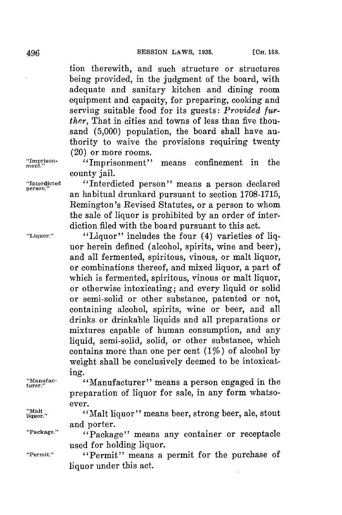tion therewith, and such structure or structures being provided, in the judgment of the board, with adequate and sanitary kitchen and dining room equipment and capacity, for preparing, cooking and serving suitable food for its guests: *Provided further,* That in cities and towns of less than five thousand **(5,000)** population, the board shall have authority to waive the provisions requiring twenty (20) or more rooms.

an habitual drunkard pursuant to section **1708-1715,** Remington's Revised Statutes, or a person to whom the sale of liquor is prohibited **by** an order of interdiction filed with the board pursuant to this act.

uor herein defined (alcohol, spirits, wine and beer), and all fermented, spiritous, vinous, or malt liquor, or combinations thereof, and mixed liquor, a part of which is fermented, spiritous, vinous or malt liquor, or otherwise intoxicating; and every liquid or solid or semi-solid or other substance, patented or not, containing alcohol, spirits, wine or beer, and all drinks or drinkable liquids and all preparations or mixtures capable of human consumption, and any liquid, semi-solid, solid, or other substance, which contains more than one per cent  $(1\%)$  of alcohol by weight shall be conclusively deemed to be intoxicat-

"Impison- "Imprisonment" means confinement in the

"Interdicted "Interdicted person" means a person declared

county jail.

**"Liquor."** "Liquor" includes the four (4) varieties of liq-

**"Alanfac-** "Manufacturer" means a person engaged in the **turer."**

ing.

ever. "Malt" ("Malt liquor" means beer, strong beer, ale, stout and porter.

preparation of liquor for sale, in any form whatso-

"Package." **"Package"** means any container or receptacle used for holding liquor.

**"Permit."** "Permit" means a permit for the purchase of liquor under this act.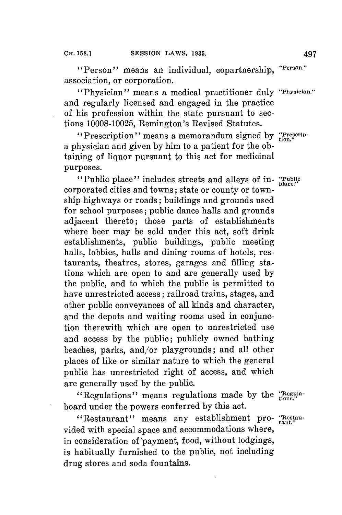"Person" means an individual, copartnership, **"erson."** association, or corporation.

"Physician" means a medical practitioner duly **"Physician."** and regularly licensed and engaged in the practice of his profession within the state pursuant to sections **10008-10025,** Remington's Revised Statutes.

"Prescription" means a memorandum signed by "Prescripa physician and given **by** him to a patient **for** the obtaining of liquor pursuant to this act for medicinal purposes.

"Public place" includes streets and alleys of in- **"Public** corporated cities and towns; state or county or township highways or roads; buildings and grounds used for school purposes; public dance halls and grounds adjacent thereto; those parts of establishments where beer may be sold under this act, soft drink establishments, public buildings, public meeting halls, lobbies, halls and dining rooms of hotels, restaurants, theatres, stores, garages and filling stations which are open to and are generally used **by** the public, and to which the public is permitted to have unrestricted access; railroad trains, stages, and other public conveyances of all kinds and character, and the depots and waiting rooms used in conjunction therewith which are open to unrestricted use and access **by** the public; publicly owned bathing beaches, parks, and/or playgrounds; and all other places of like or similar nature to which the general public has unrestricted right of access, and which are generally used **by** the public.

"Regulations" means regulations made **by** the **'Regula**board under the powers conferred **by** this act.

"Restaurant" means any establishment pro- "Restauvided with special space and accommodations where, in consideration of payment, food, without lodgings, is habitually furnished to the public, not including drug stores and soda fountains.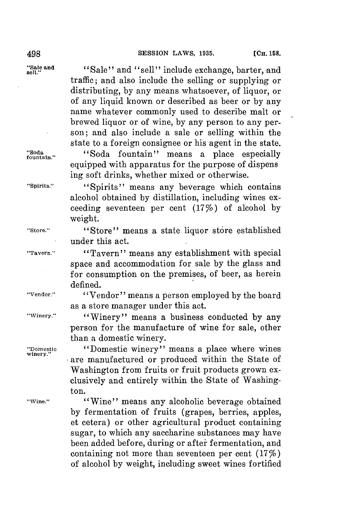traffic; and also include the selling or supplying or distributing, **by** any means whatsoever, of liquor, or of any liquid known or described as beer or **by** any name whatever commonly used to describe malt or brewed liquor or of wine, **by** any person to any person; and also include a sale or selling within the state to a foreign consignee or his agent in the state.

"Sale and "Sale" and "sell" include exchange, barter, and sell."

**"Soda** "Soda fountain" means a place especially

**"Spirits."** "Spirits" means any beverage which contains alcohol obtained **by** distillation, including wines exceeding seventeen per cent (177) of alcohol **by** weight.

equipped with apparatus for the purpose of dispens

ing soft drinks, whether mixed or otherwise.

**"Store."** "Store" means a state liquor store established under this act.

**"Tavern."** "Tavern" means any establishment with special space and accommodation for sale **by** the glass and for consumption on the premises, of beer, as herein defined.

**"Vendor."** "Vendor" means a person employed **by** the board as a store manager under this act.

**"Winery."** "Winery" means a business conducted **by** any person for the manufacture of wine for sale, other than a domestic winery.

> "Domestic winery" means a place where wines are manufactured or produced within the State of Washington from fruits or fruit products grown exclusively and entirely within the State of Washington.

"Wine." **"Wine"** means any alcoholic beverage obtained **by** fermentation of fruits (grapes, berries, apples, et cetera) or other agricultural product containing sugar, to which any saccharine substances may have been added before, during or aftei fermentation, and containing not more than seventeen per cent  $(17\%)$ of alcohol **by** weight, including sweet wines fortified

**winery.'**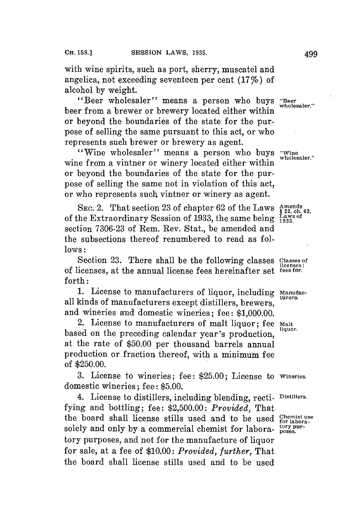with wine spirits, such as port, sherry, muscatel and angelica, not exceeding seventeen per cent  $(17\%)$  of alcohol **by** weight.

"Beer wholesaler" means a person who buys **"Beer** beer from a brewer or brewery located either within or beyond the boundaries of the state for the purpose of selling the same pursuant to this act, or who represents such brewer or brewery as agent.

"Wine wholesaler" means a person who buys "Wine wholesaler." wine from a vintner or winery located either within or beyond the boundaries of the state for the purpose of selling the same not in violation of this act, or who represents such vintner or winery as agent.

SEC. 2. That section 23 of chapter  $62$  of the Laws  $\frac{\text{Amends}}{\text{823}, \text{ch.6}}$ of the Extraordinary Session of 1933, the same being  $\frac{Laws}{1933}$ section **7306-23** of Rem. Rev. Stat., be amended and the subsections thereof renumbered to read as fol**lows:**

Section 23. There shall be the following classes Classes of **licenses:** of licenses, at the annual license fees hereinafter set **fees for.** forth:

**1.** License to manufacturers of liquor, including **Manufac**all kinds of manufacturers except distillers, brewers. and wineries and domestic wineries; fee: **\$1,000.00.**

2. License to manufacturers of malt liquor; fee **malt** based on the preceding calendar year's production, at the rate of **\$50.00** per thousand barrels annual production or fraction thereof, with a minimum fee of **\$250.00.**

**3.** License to wineries; fee: **\$25.00;** License to **wineries.** domestic wineries; fee: **\$5.00.**

4. License to distillers, including blending, recti- **Distillers. fying** and bottling; fee: **\$2,500.00:** *Provided,* That the board shall license stills used and to be used *Chemistuse* solely and only by a commercial chemist for labora- poses. tory purposes, and not **for** the manufacture of liquor for sale, at a fee of *\$10.00: Provided, further,* That the board shall license stills used and to be used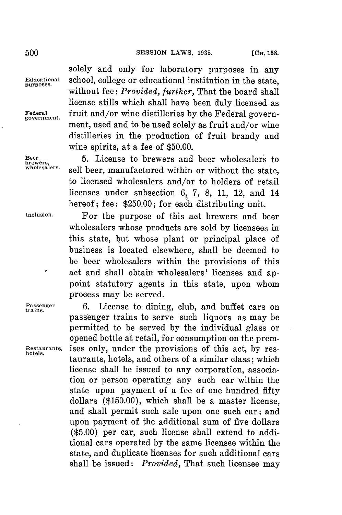**trains.**

solely and only for laboratory purposes in any Educational school, college or educational institution in the state, without fee: *Provided, further,* That the board shall license stills which shall have been duly licensed as Federal fruit and/or wine distilleries by the Federal government, used and to be used solely as fruit and/or wine distilleries in the production of fruit brandy and wine spirits, at a fee of **\$50.00.**

**Brewers, 5.** License to brewers and beer wholesalers to sell beer, manufactured within or without the state. to licensed wholesalers and/or to holders of retail licenses under subsection 6, **7, 8, 11,** 12, and 14 hereof; fee: **\$250.00;** for each distributing unit.

**Inclusion.** For the purpose of this act brewers and beer wholesalers whose products are sold **by** licensees in this state, but whose plant or principal place of business is located elsewhere, shall be deemed to be beer wholesalers within the provisions of this act and shall obtain wholesalers' licenses and appoint statutory agents in this state, upon whom process may be served.

6. License to dining, club, and buffet cars on passenger trains to serve such liquors as may be permitted to be served **by** the individual glass or opened bottle at retail, for consumption on the prem-**Restaurants,** ises only, under the provisions of this act, **by** res- **hotels.** taurants, hotels, and others of a similar class; which license shall be issued to any corporation, association or person operating any such car within the state upon payment of a fee of one hundred fifty dollars **(\$150.00),** which shall be a master license, and shall permit such sale upon one such car; and upon payment of the additional sum of five dollars **(\$5.00)** per car, such license shall extend to additional cars operated **by** the same licensee within the state, and duplicate licenses **for** such additional cars shall be issued: *Provided,* That such licensee may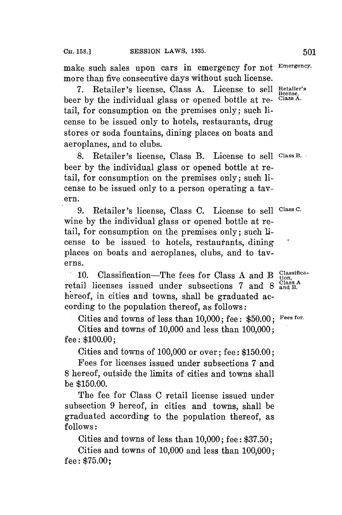make such sales upon cars in emergency for not **Emergency.** more than five consecutive days without such license.

**7.** Retailer's license. Class **A.** License to sell **Retailer's** beer by the individual glass or opened bottle at retail, **for** consumption on the premises only; such license to be issued only to hotels, restaurants, drug stores or soda fountains, dining places on boats and aeroplanes, and to clubs.

**8.** Retailer's license, Class B. License to sell **ClassB.** beer **by** the individual glass or opened bottle at retail, for consumption on the premises only; such license to be issued only to a person operating a tavern.

**9.** Retailer's license, Class **C.** License to sell **Class 0.** wine **by** the individual glass or opened bottle at retail, for consumption on the premises only; such license to be issued to hotels, restautants, dining places on boats and aeroplanes, clubs, and to taverns.

**10.** Classification—The fees for Class A and B tion, Classification, The class A retail licenses issued under subsections 7 and 8 and B. hereof, in cities and towns, shall be graduated according to the population thereof, as follows:

Cities and towns of less than **10,000;** fee: **\$50.00; Fees for.**

Cities and towns of **10,000** and less than **100,000;** fee: **\$100.00;**

Cities and towns of **100,000** or over; fee: **\$150.00;**

Fees for licenses issued under subsections **7** and **8** hereof, outside the limits of cities and towns shall be **\$150.00.**

The fee for Class **C** retail license issued under subsection **9** hereof, in cities and towns, shall be graduated according to the population thereof, as **follows:**

Cities and towns of less than **10,000;** fee: **\$37.50;**

Cities and towns of **10,000** and less than **100,000;** fee: **\$75.00;**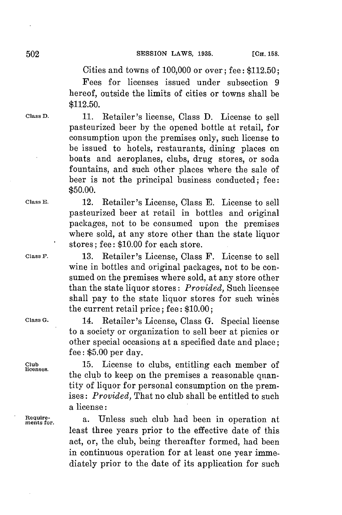Cities and towns of **100,000** or over; fee: **\$112.50;**

Fees for licenses issued under subsection **9** hereof, outside the limits of cities or towns shall be **\$112.50.**

**Class D. 11.** Retailer's license, Class **D.** License to sell pasteurized beer **by** the opened bottle at retail, for consumption upon the premises only, such license to be issued to hotels, restaurants, dining places on boats and aeroplanes, clubs, drug stores, or soda fountains, and such other places where the sale of beer is not the principal business conducted; fee: **\$50.00.**

> pasteurized beer at retail in bottles and original packages, not to be consumed upon the premises where sold, at any store other than the state liquor

stores; fee: **\$10.00** for each store.

**ClassE.** 12. Retailer's License, Class **E.** License to sell

**Class F. 13.** Retailer's License, Class F. License to sell wine in bottles and original packages, not to be consumed on the premises where sold, at any store other than the state liquor stores: *Provided,* Such licensee shall pay to the state liquor stores for such wines the current retail price; fee: **\$10.00;**

**Class G.** 14. Retailer's License, Class **G.** Special license to a society or organization to sell beer at picnics or other special occasions at a specified date and place; fee: **\$5.00** per day.

Club **15.** License to clubs, entitling each member of the club to keep on the premises a reasonable quantity of liquor **for** personal consumption on the premises: *Provided,* That no club shall be entitled to such a license:

> a. Unless such club had been in operation at least three years prior to the effective date of this act, or, the club, being thereafter formed, had been in continuous operation for at least one year immediately prior to the date of its application for such

**Requirements**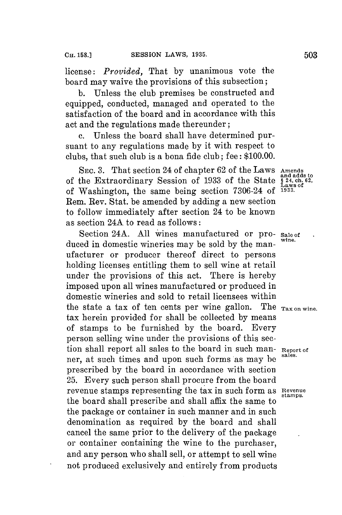license: *Provided,* That **by** unanimous vote the board may waive the provisions of this subsection;

**b.** Unless the club premises be constructed and equipped, conducted, managed and operated to the satisfaction of the board and in accordance with this act and the regulations made thereunder;

Unless the board shall have determined pursuant to any regulations made **by** it with respect to clubs, that such club is a bona fide club; fee: **\$100.00.**

**SEc. 3.** That section 24 of chapter **62** of the Laws **Amends** of the Extraordinary Session of 1933 of the State **§ 24, ch.** 62, ch. 62, ch. 62, ch. 62, ch. 62, ch. 62, ch. 62, ch. 62, ch. 62, ch. 62, ch. 62, ch. 62, ch. 62, ch. 62, ch. 62, ch. 62, ch. 62, ch. 62, ch. 62, ch. 62, ch. of Washington, the same being section **7306-24 of 1933.** Rem. Rev. Stat. be amended **by** adding a new section to follow immediately after section 24 to be known as section 24A to read as follows:

Section 24A. **All** wines manufactured or pro- **Sale of** duced in domestic wineries may be sold by the manufacturer or producer thereof direct to persons holding licenses entitling them to sell wine at retail under the provisions of this act. There is hereby imposed upon all wines manufactured or produced in domestic wineries and sold to retail licensees within the state a tax of ten cents per wine gallon. The  $T_{\text{ax on wine}}$ tax herein provided for shall be collected **by** means of stamps to be furnished **by** the board. Every person selling wine under the provisions of this section shall report all sales to the board in such man- **Report of** ner, at such times and upon such forms as may be prescribed **by** the board in accordance with section **25.** Every such person shall procure from the board revenue stamps representing the tax in such form as Revenue the board shall prescribe and shall affix the same to the package or container in such manner and in such denomination as required **by** the board and shall cancel the same prior to the delivery of the package or container containing the wine to the purchaser, and any person who shall sell, or attempt to sell wine not produced exclusively and entirely from products